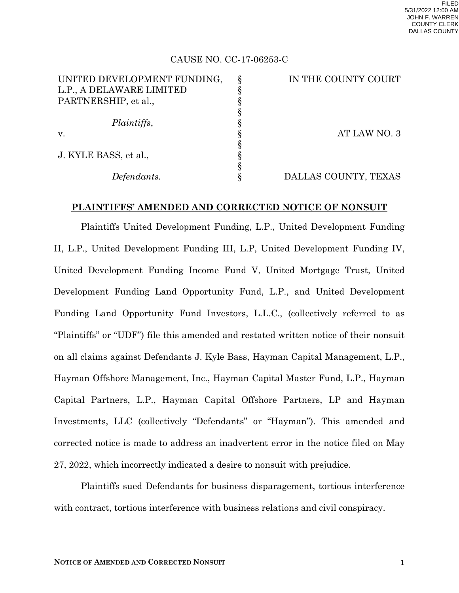### CAUSE NO. CC-17-06253-C

| UNITED DEVELOPMENT FUNDING, | IN THE COUNTY COURT  |
|-----------------------------|----------------------|
| L.P., A DELAWARE LIMITED    |                      |
| PARTNERSHIP, et al.,        |                      |
|                             |                      |
| Plaintiffs,                 |                      |
| V.                          | AT LAW NO. 3         |
|                             |                      |
| J. KYLE BASS, et al.,       |                      |
|                             |                      |
| Defendants.                 | DALLAS COUNTY, TEXAS |

#### **PLAINTIFFS' AMENDED AND CORRECTED NOTICE OF NONSUIT**

Plaintiffs United Development Funding, L.P., United Development Funding II, L.P., United Development Funding III, L.P, United Development Funding IV, United Development Funding Income Fund V, United Mortgage Trust, United Development Funding Land Opportunity Fund, L.P., and United Development Funding Land Opportunity Fund Investors, L.L.C., (collectively referred to as "Plaintiffs" or "UDF") file this amended and restated written notice of their nonsuit on all claims against Defendants J. Kyle Bass, Hayman Capital Management, L.P., Hayman Offshore Management, Inc., Hayman Capital Master Fund, L.P., Hayman Capital Partners, L.P., Hayman Capital Offshore Partners, LP and Hayman Investments, LLC (collectively "Defendants" or "Hayman"). This amended and corrected notice is made to address an inadvertent error in the notice filed on May 27, 2022, which incorrectly indicated a desire to nonsuit with prejudice.

Plaintiffs sued Defendants for business disparagement, tortious interference with contract, tortious interference with business relations and civil conspiracy.